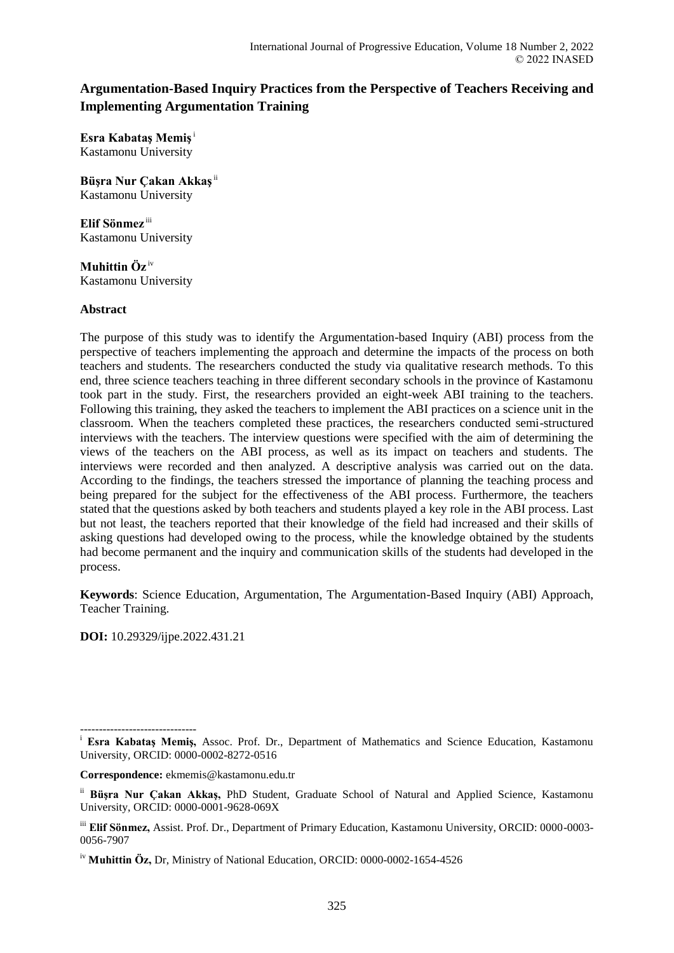# **Argumentation-Based Inquiry Practices from the Perspective of Teachers Receiving and Implementing Argumentation Training**

**Esra Kabataş Memiş**<sup>i</sup> Kastamonu University

**Büşra Nur Çakan Akkaş**ii Kastamonu University

**Elif Sönmez** iii Kastamonu University

**Muhittin Öz** iv Kastamonu University

# **Abstract**

The purpose of this study was to identify the Argumentation-based Inquiry (ABI) process from the perspective of teachers implementing the approach and determine the impacts of the process on both teachers and students. The researchers conducted the study via qualitative research methods. To this end, three science teachers teaching in three different secondary schools in the province of Kastamonu took part in the study. First, the researchers provided an eight-week ABI training to the teachers. Following this training, they asked the teachers to implement the ABI practices on a science unit in the classroom. When the teachers completed these practices, the researchers conducted semi-structured interviews with the teachers. The interview questions were specified with the aim of determining the views of the teachers on the ABI process, as well as its impact on teachers and students. The interviews were recorded and then analyzed. A descriptive analysis was carried out on the data. According to the findings, the teachers stressed the importance of planning the teaching process and being prepared for the subject for the effectiveness of the ABI process. Furthermore, the teachers stated that the questions asked by both teachers and students played a key role in the ABI process. Last but not least, the teachers reported that their knowledge of the field had increased and their skills of asking questions had developed owing to the process, while the knowledge obtained by the students had become permanent and the inquiry and communication skills of the students had developed in the process.

**Keywords**: Science Education, Argumentation, The Argumentation-Based Inquiry (ABI) Approach, Teacher Training.

**DOI:** 10.29329/ijpe.2022.431.21

**Correspondence:** ekmemis@kastamonu.edu.tr

<sup>-------------------------------</sup> <sup>i</sup> Esra Kabataş Memiş, Assoc. Prof. Dr., Department of Mathematics and Science Education, Kastamonu University, ORCID: 0000-0002-8272-0516

ii **Büşra Nur Çakan Akkaş,** PhD Student, Graduate School of Natural and Applied Science, Kastamonu University, ORCID: 0000-0001-9628-069X

iii **Elif Sönmez,** Assist. Prof. Dr., Department of Primary Education, Kastamonu University, ORCID: 0000-0003- 0056-7907

iv **Muhittin Öz,** Dr, Ministry of National Education, ORCID: 0000-0002-1654-4526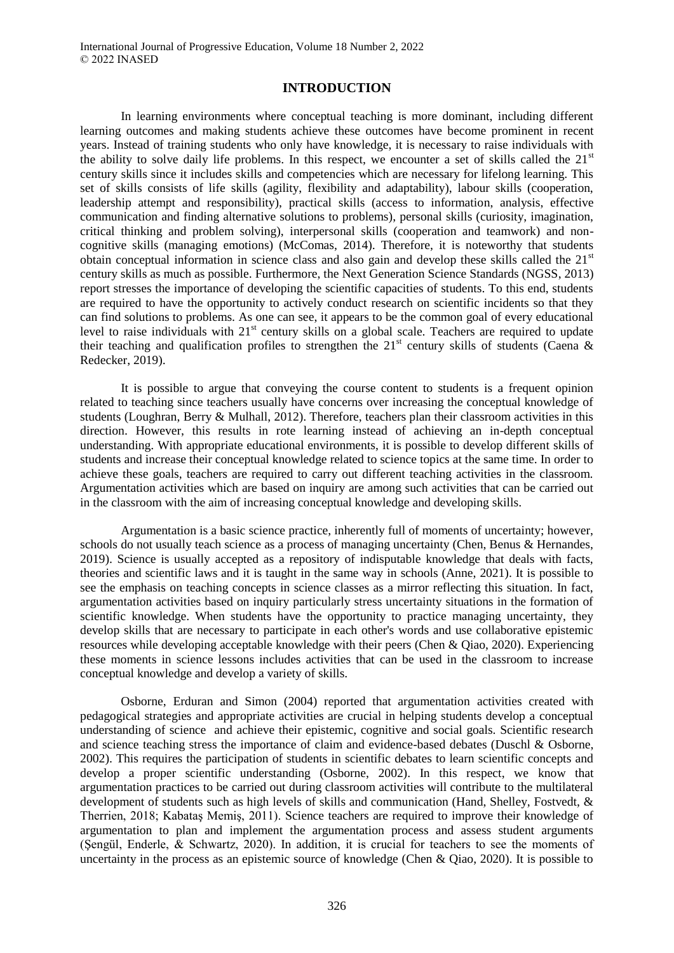### **INTRODUCTION**

In learning environments where conceptual teaching is more dominant, including different learning outcomes and making students achieve these outcomes have become prominent in recent years. Instead of training students who only have knowledge, it is necessary to raise individuals with the ability to solve daily life problems. In this respect, we encounter a set of skills called the  $21<sup>st</sup>$ century skills since it includes skills and competencies which are necessary for lifelong learning. This set of skills consists of life skills (agility, flexibility and adaptability), labour skills (cooperation, leadership attempt and responsibility), practical skills (access to information, analysis, effective communication and finding alternative solutions to problems), personal skills (curiosity, imagination, critical thinking and problem solving), interpersonal skills (cooperation and teamwork) and noncognitive skills (managing emotions) (McComas, 2014). Therefore, it is noteworthy that students obtain conceptual information in science class and also gain and develop these skills called the 21<sup>st</sup> century skills as much as possible. Furthermore, the Next Generation Science Standards (NGSS, 2013) report stresses the importance of developing the scientific capacities of students. To this end, students are required to have the opportunity to actively conduct research on scientific incidents so that they can find solutions to problems. As one can see, it appears to be the common goal of every educational level to raise individuals with 21<sup>st</sup> century skills on a global scale. Teachers are required to update their teaching and qualification profiles to strengthen the  $21<sup>st</sup>$  century skills of students (Caena & Redecker, 2019).

It is possible to argue that conveying the course content to students is a frequent opinion related to teaching since teachers usually have concerns over increasing the conceptual knowledge of students (Loughran, Berry & Mulhall, 2012). Therefore, teachers plan their classroom activities in this direction. However, this results in rote learning instead of achieving an in-depth conceptual understanding. With appropriate educational environments, it is possible to develop different skills of students and increase their conceptual knowledge related to science topics at the same time. In order to achieve these goals, teachers are required to carry out different teaching activities in the classroom. Argumentation activities which are based on inquiry are among such activities that can be carried out in the classroom with the aim of increasing conceptual knowledge and developing skills.

Argumentation is a basic science practice, inherently full of moments of uncertainty; however, schools do not usually teach science as a process of managing uncertainty (Chen, Benus & Hernandes, 2019). Science is usually accepted as a repository of indisputable knowledge that deals with facts, theories and scientific laws and it is taught in the same way in schools (Anne, 2021). It is possible to see the emphasis on teaching concepts in science classes as a mirror reflecting this situation. In fact, argumentation activities based on inquiry particularly stress uncertainty situations in the formation of scientific knowledge. When students have the opportunity to practice managing uncertainty, they develop skills that are necessary to participate in each other's words and use collaborative epistemic resources while developing acceptable knowledge with their peers (Chen & Qiao, 2020). Experiencing these moments in science lessons includes activities that can be used in the classroom to increase conceptual knowledge and develop a variety of skills.

Osborne, Erduran and Simon (2004) reported that argumentation activities created with pedagogical strategies and appropriate activities are crucial in helping students develop a conceptual understanding of science and achieve their epistemic, cognitive and social goals. Scientific research and science teaching stress the importance of claim and evidence-based debates (Duschl & Osborne, 2002). This requires the participation of students in scientific debates to learn scientific concepts and develop a proper scientific understanding (Osborne, 2002). In this respect, we know that argumentation practices to be carried out during classroom activities will contribute to the multilateral development of students such as high levels of skills and communication (Hand, Shelley, Fostvedt, & Therrien, 2018; Kabataş Memiş, 2011). Science teachers are required to improve their knowledge of argumentation to plan and implement the argumentation process and assess student arguments (Şengül, Enderle, & Schwartz, 2020). In addition, it is crucial for teachers to see the moments of uncertainty in the process as an epistemic source of knowledge (Chen & Qiao, 2020). It is possible to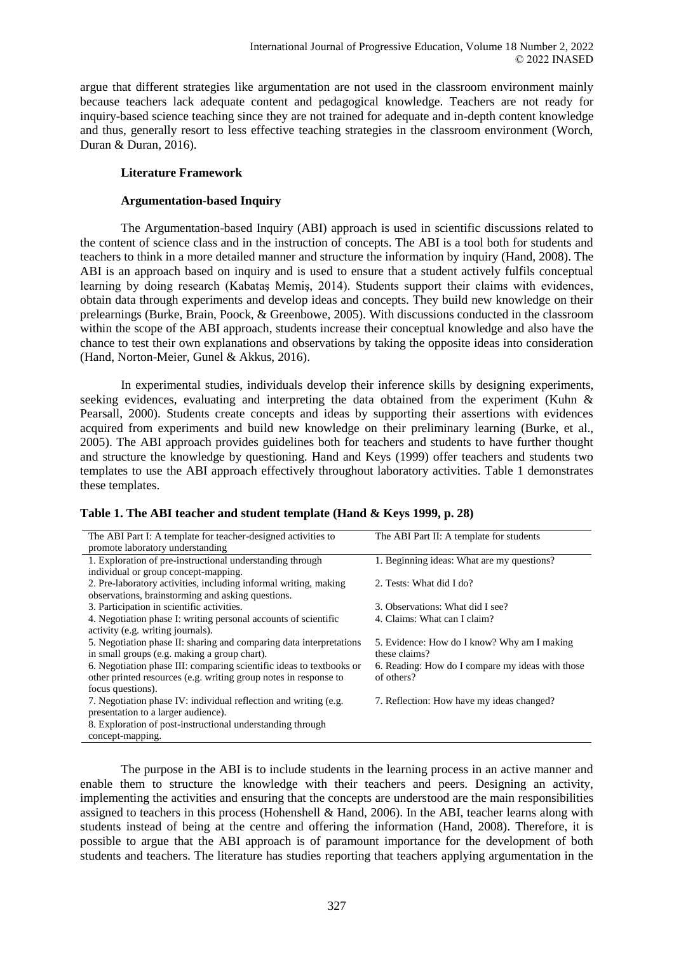argue that different strategies like argumentation are not used in the classroom environment mainly because teachers lack adequate content and pedagogical knowledge. Teachers are not ready for inquiry-based science teaching since they are not trained for adequate and in-depth content knowledge and thus, generally resort to less effective teaching strategies in the classroom environment (Worch, Duran & Duran, 2016).

# **Literature Framework**

# **Argumentation-based Inquiry**

The Argumentation-based Inquiry (ABI) approach is used in scientific discussions related to the content of science class and in the instruction of concepts. The ABI is a tool both for students and teachers to think in a more detailed manner and structure the information by inquiry (Hand, 2008). The ABI is an approach based on inquiry and is used to ensure that a student actively fulfils conceptual learning by doing research (Kabataş Memiş, 2014). Students support their claims with evidences, obtain data through experiments and develop ideas and concepts. They build new knowledge on their prelearnings (Burke, Brain, Poock, & Greenbowe, 2005). With discussions conducted in the classroom within the scope of the ABI approach, students increase their conceptual knowledge and also have the chance to test their own explanations and observations by taking the opposite ideas into consideration (Hand, Norton-Meier, Gunel & Akkus, 2016).

In experimental studies, individuals develop their inference skills by designing experiments, seeking evidences, evaluating and interpreting the data obtained from the experiment (Kuhn  $\&$ Pearsall, 2000). Students create concepts and ideas by supporting their assertions with evidences acquired from experiments and build new knowledge on their preliminary learning (Burke, et al., 2005). The ABI approach provides guidelines both for teachers and students to have further thought and structure the knowledge by questioning. Hand and Keys (1999) offer teachers and students two templates to use the ABI approach effectively throughout laboratory activities. Table 1 demonstrates these templates.

| The ABI Part I: A template for teacher-designed activities to        | The ABI Part II: A template for students         |
|----------------------------------------------------------------------|--------------------------------------------------|
| promote laboratory understanding                                     |                                                  |
| 1. Exploration of pre-instructional understanding through            | 1. Beginning ideas: What are my questions?       |
| individual or group concept-mapping.                                 |                                                  |
| 2. Pre-laboratory activities, including informal writing, making     | 2. Tests: What did I do?                         |
| observations, brainstorming and asking questions.                    |                                                  |
| 3. Participation in scientific activities.                           | 3. Observations: What did I see?                 |
| 4. Negotiation phase I: writing personal accounts of scientific      | 4. Claims: What can I claim?                     |
| activity (e.g. writing journals).                                    |                                                  |
| 5. Negotiation phase II: sharing and comparing data interpretations  | 5. Evidence: How do I know? Why am I making      |
| in small groups (e.g. making a group chart).                         | these claims?                                    |
| 6. Negotiation phase III: comparing scientific ideas to textbooks or | 6. Reading: How do I compare my ideas with those |
| other printed resources (e.g. writing group notes in response to     | of others?                                       |
| focus questions).                                                    |                                                  |
| 7. Negotiation phase IV: individual reflection and writing (e.g.     | 7. Reflection: How have my ideas changed?        |
| presentation to a larger audience).                                  |                                                  |
| 8. Exploration of post-instructional understanding through           |                                                  |
| concept-mapping.                                                     |                                                  |

**Table 1. The ABI teacher and student template (Hand & Keys 1999, p. 28)**

The purpose in the ABI is to include students in the learning process in an active manner and enable them to structure the knowledge with their teachers and peers. Designing an activity, implementing the activities and ensuring that the concepts are understood are the main responsibilities assigned to teachers in this process (Hohenshell & Hand, 2006). In the ABI, teacher learns along with students instead of being at the centre and offering the information (Hand, 2008). Therefore, it is possible to argue that the ABI approach is of paramount importance for the development of both students and teachers. The literature has studies reporting that teachers applying argumentation in the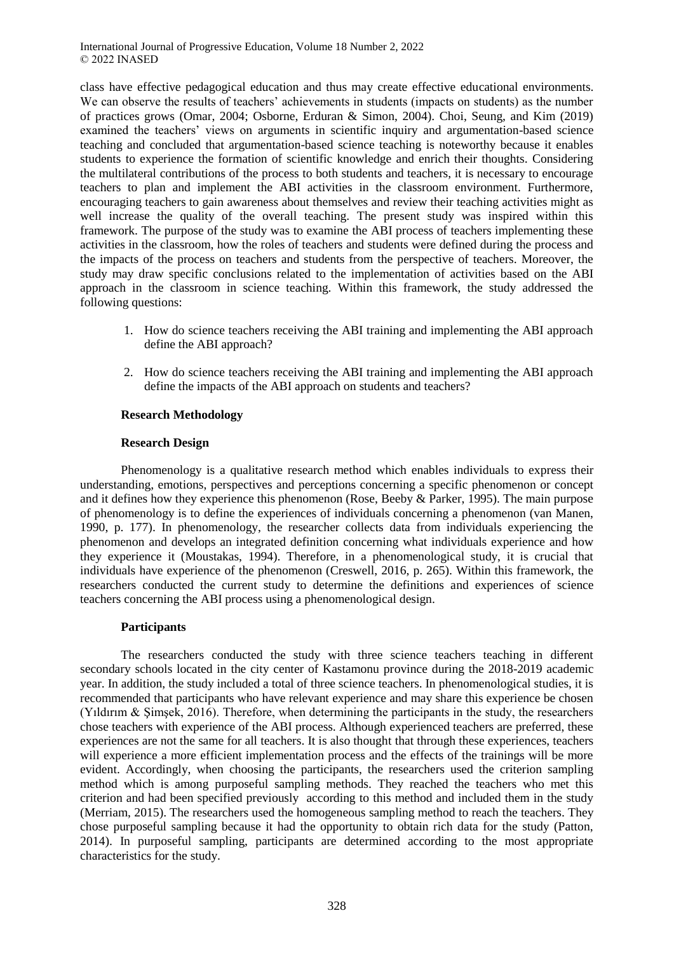class have effective pedagogical education and thus may create effective educational environments. We can observe the results of teachers' achievements in students (impacts on students) as the number of practices grows (Omar, 2004; Osborne, Erduran & Simon, 2004). Choi, Seung, and Kim (2019) examined the teachers' views on arguments in scientific inquiry and argumentation-based science teaching and concluded that argumentation-based science teaching is noteworthy because it enables students to experience the formation of scientific knowledge and enrich their thoughts. Considering the multilateral contributions of the process to both students and teachers, it is necessary to encourage teachers to plan and implement the ABI activities in the classroom environment. Furthermore, encouraging teachers to gain awareness about themselves and review their teaching activities might as well increase the quality of the overall teaching. The present study was inspired within this framework. The purpose of the study was to examine the ABI process of teachers implementing these activities in the classroom, how the roles of teachers and students were defined during the process and the impacts of the process on teachers and students from the perspective of teachers. Moreover, the study may draw specific conclusions related to the implementation of activities based on the ABI approach in the classroom in science teaching. Within this framework, the study addressed the following questions:

- 1. How do science teachers receiving the ABI training and implementing the ABI approach define the ABI approach?
- 2. How do science teachers receiving the ABI training and implementing the ABI approach define the impacts of the ABI approach on students and teachers?

# **Research Methodology**

### **Research Design**

Phenomenology is a qualitative research method which enables individuals to express their understanding, emotions, perspectives and perceptions concerning a specific phenomenon or concept and it defines how they experience this phenomenon (Rose, Beeby & Parker, 1995). The main purpose of phenomenology is to define the experiences of individuals concerning a phenomenon (van Manen, 1990, p. 177). In phenomenology, the researcher collects data from individuals experiencing the phenomenon and develops an integrated definition concerning what individuals experience and how they experience it (Moustakas, 1994). Therefore, in a phenomenological study, it is crucial that individuals have experience of the phenomenon (Creswell, 2016, p. 265). Within this framework, the researchers conducted the current study to determine the definitions and experiences of science teachers concerning the ABI process using a phenomenological design.

### **Participants**

The researchers conducted the study with three science teachers teaching in different secondary schools located in the city center of Kastamonu province during the 2018-2019 academic year. In addition, the study included a total of three science teachers. In phenomenological studies, it is recommended that participants who have relevant experience and may share this experience be chosen (Yıldırım & Şimşek, 2016). Therefore, when determining the participants in the study, the researchers chose teachers with experience of the ABI process. Although experienced teachers are preferred, these experiences are not the same for all teachers. It is also thought that through these experiences, teachers will experience a more efficient implementation process and the effects of the trainings will be more evident. Accordingly, when choosing the participants, the researchers used the criterion sampling method which is among purposeful sampling methods. They reached the teachers who met this criterion and had been specified previously according to this method and included them in the study (Merriam, 2015). The researchers used the homogeneous sampling method to reach the teachers. They chose purposeful sampling because it had the opportunity to obtain rich data for the study (Patton, 2014). In purposeful sampling, participants are determined according to the most appropriate characteristics for the study.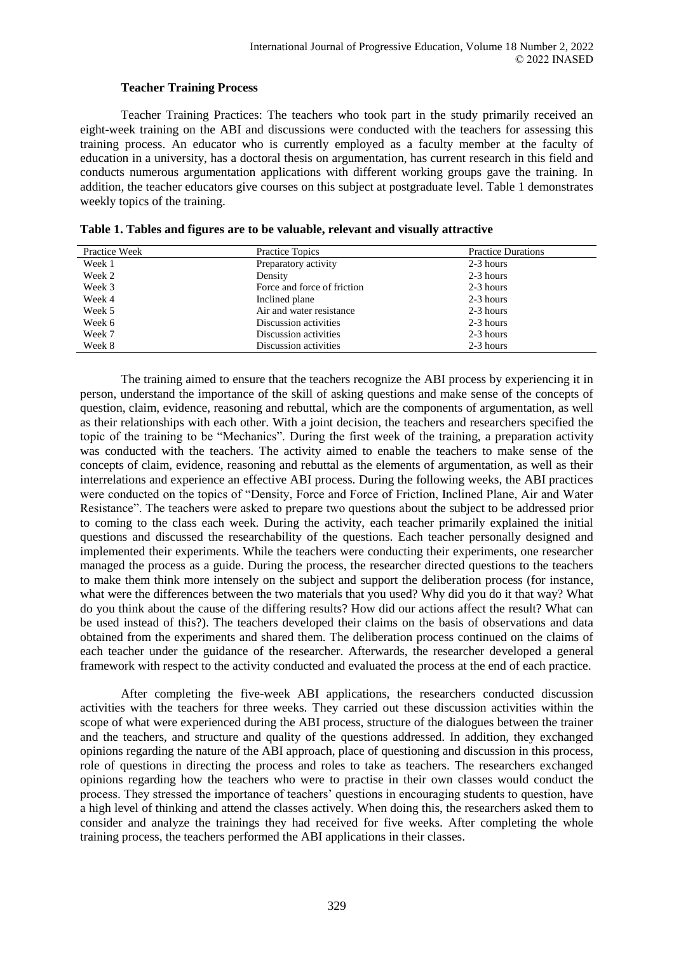# **Teacher Training Process**

Teacher Training Practices: The teachers who took part in the study primarily received an eight-week training on the ABI and discussions were conducted with the teachers for assessing this training process. An educator who is currently employed as a faculty member at the faculty of education in a university, has a doctoral thesis on argumentation, has current research in this field and conducts numerous argumentation applications with different working groups gave the training. In addition, the teacher educators give courses on this subject at postgraduate level. Table 1 demonstrates weekly topics of the training.

| Practice Week | Practice Topics             | <b>Practice Durations</b> |
|---------------|-----------------------------|---------------------------|
| Week 1        | Preparatory activity        | 2-3 hours                 |
| Week 2        | Density                     | 2-3 hours                 |
| Week 3        | Force and force of friction | 2-3 hours                 |
| Week 4        | Inclined plane              | 2-3 hours                 |
| Week 5        | Air and water resistance    | 2-3 hours                 |
| Week 6        | Discussion activities       | 2-3 hours                 |
| Week 7        | Discussion activities       | 2-3 hours                 |
| Week 8        | Discussion activities       | 2-3 hours                 |

**Table 1. Tables and figures are to be valuable, relevant and visually attractive**

The training aimed to ensure that the teachers recognize the ABI process by experiencing it in person, understand the importance of the skill of asking questions and make sense of the concepts of question, claim, evidence, reasoning and rebuttal, which are the components of argumentation, as well as their relationships with each other. With a joint decision, the teachers and researchers specified the topic of the training to be "Mechanics". During the first week of the training, a preparation activity was conducted with the teachers. The activity aimed to enable the teachers to make sense of the concepts of claim, evidence, reasoning and rebuttal as the elements of argumentation, as well as their interrelations and experience an effective ABI process. During the following weeks, the ABI practices were conducted on the topics of "Density, Force and Force of Friction, Inclined Plane, Air and Water Resistance". The teachers were asked to prepare two questions about the subject to be addressed prior to coming to the class each week. During the activity, each teacher primarily explained the initial questions and discussed the researchability of the questions. Each teacher personally designed and implemented their experiments. While the teachers were conducting their experiments, one researcher managed the process as a guide. During the process, the researcher directed questions to the teachers to make them think more intensely on the subject and support the deliberation process (for instance, what were the differences between the two materials that you used? Why did you do it that way? What do you think about the cause of the differing results? How did our actions affect the result? What can be used instead of this?). The teachers developed their claims on the basis of observations and data obtained from the experiments and shared them. The deliberation process continued on the claims of each teacher under the guidance of the researcher. Afterwards, the researcher developed a general framework with respect to the activity conducted and evaluated the process at the end of each practice.

After completing the five-week ABI applications, the researchers conducted discussion activities with the teachers for three weeks. They carried out these discussion activities within the scope of what were experienced during the ABI process, structure of the dialogues between the trainer and the teachers, and structure and quality of the questions addressed. In addition, they exchanged opinions regarding the nature of the ABI approach, place of questioning and discussion in this process, role of questions in directing the process and roles to take as teachers. The researchers exchanged opinions regarding how the teachers who were to practise in their own classes would conduct the process. They stressed the importance of teachers' questions in encouraging students to question, have a high level of thinking and attend the classes actively. When doing this, the researchers asked them to consider and analyze the trainings they had received for five weeks. After completing the whole training process, the teachers performed the ABI applications in their classes.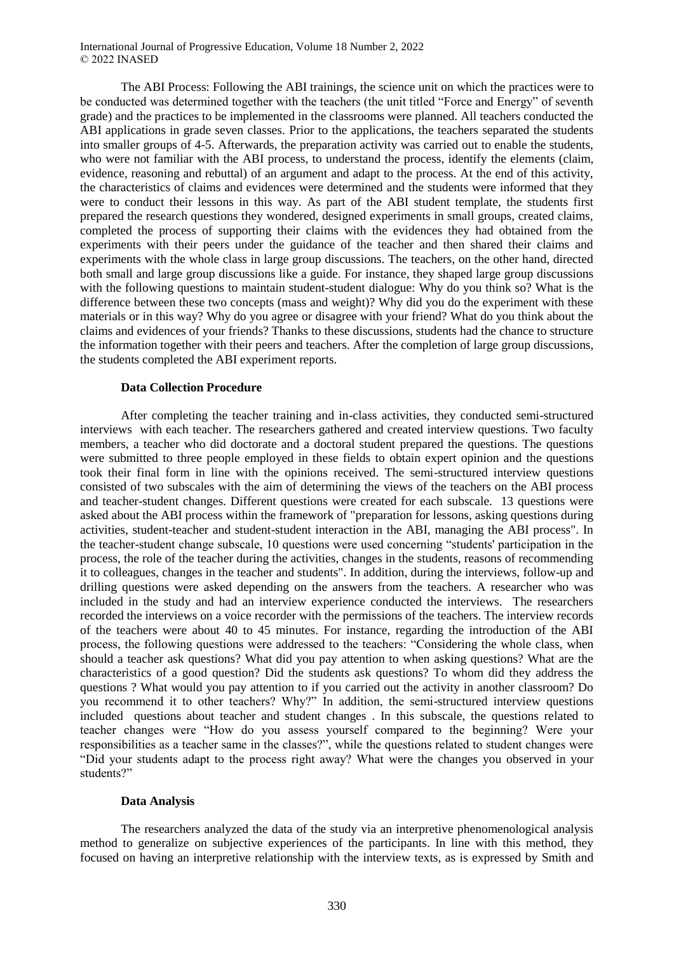International Journal of Progressive Education, Volume 18 Number 2, 2022 © 2022 INASED

The ABI Process: Following the ABI trainings, the science unit on which the practices were to be conducted was determined together with the teachers (the unit titled "Force and Energy" of seventh grade) and the practices to be implemented in the classrooms were planned. All teachers conducted the ABI applications in grade seven classes. Prior to the applications, the teachers separated the students into smaller groups of 4-5. Afterwards, the preparation activity was carried out to enable the students, who were not familiar with the ABI process, to understand the process, identify the elements (claim, evidence, reasoning and rebuttal) of an argument and adapt to the process. At the end of this activity, the characteristics of claims and evidences were determined and the students were informed that they were to conduct their lessons in this way. As part of the ABI student template, the students first prepared the research questions they wondered, designed experiments in small groups, created claims, completed the process of supporting their claims with the evidences they had obtained from the experiments with their peers under the guidance of the teacher and then shared their claims and experiments with the whole class in large group discussions. The teachers, on the other hand, directed both small and large group discussions like a guide. For instance, they shaped large group discussions with the following questions to maintain student-student dialogue: Why do you think so? What is the difference between these two concepts (mass and weight)? Why did you do the experiment with these materials or in this way? Why do you agree or disagree with your friend? What do you think about the claims and evidences of your friends? Thanks to these discussions, students had the chance to structure the information together with their peers and teachers. After the completion of large group discussions, the students completed the ABI experiment reports.

#### **Data Collection Procedure**

After completing the teacher training and in-class activities, they conducted semi-structured interviews with each teacher. The researchers gathered and created interview questions. Two faculty members, a teacher who did doctorate and a doctoral student prepared the questions. The questions were submitted to three people employed in these fields to obtain expert opinion and the questions took their final form in line with the opinions received. The semi-structured interview questions consisted of two subscales with the aim of determining the views of the teachers on the ABI process and teacher-student changes. Different questions were created for each subscale. 13 questions were asked about the ABI process within the framework of "preparation for lessons, asking questions during activities, student-teacher and student-student interaction in the ABI, managing the ABI process". In the teacher-student change subscale, 10 questions were used concerning "students' participation in the process, the role of the teacher during the activities, changes in the students, reasons of recommending it to colleagues, changes in the teacher and students". In addition, during the interviews, follow-up and drilling questions were asked depending on the answers from the teachers. A researcher who was included in the study and had an interview experience conducted the interviews. The researchers recorded the interviews on a voice recorder with the permissions of the teachers. The interview records of the teachers were about 40 to 45 minutes. For instance, regarding the introduction of the ABI process, the following questions were addressed to the teachers: "Considering the whole class, when should a teacher ask questions? What did you pay attention to when asking questions? What are the characteristics of a good question? Did the students ask questions? To whom did they address the questions ? What would you pay attention to if you carried out the activity in another classroom? Do you recommend it to other teachers? Why?" In addition, the semi-structured interview questions included questions about teacher and student changes . In this subscale, the questions related to teacher changes were "How do you assess yourself compared to the beginning? Were your responsibilities as a teacher same in the classes?", while the questions related to student changes were "Did your students adapt to the process right away? What were the changes you observed in your students?"

### **Data Analysis**

The researchers analyzed the data of the study via an interpretive phenomenological analysis method to generalize on subjective experiences of the participants. In line with this method, they focused on having an interpretive relationship with the interview texts, as is expressed by Smith and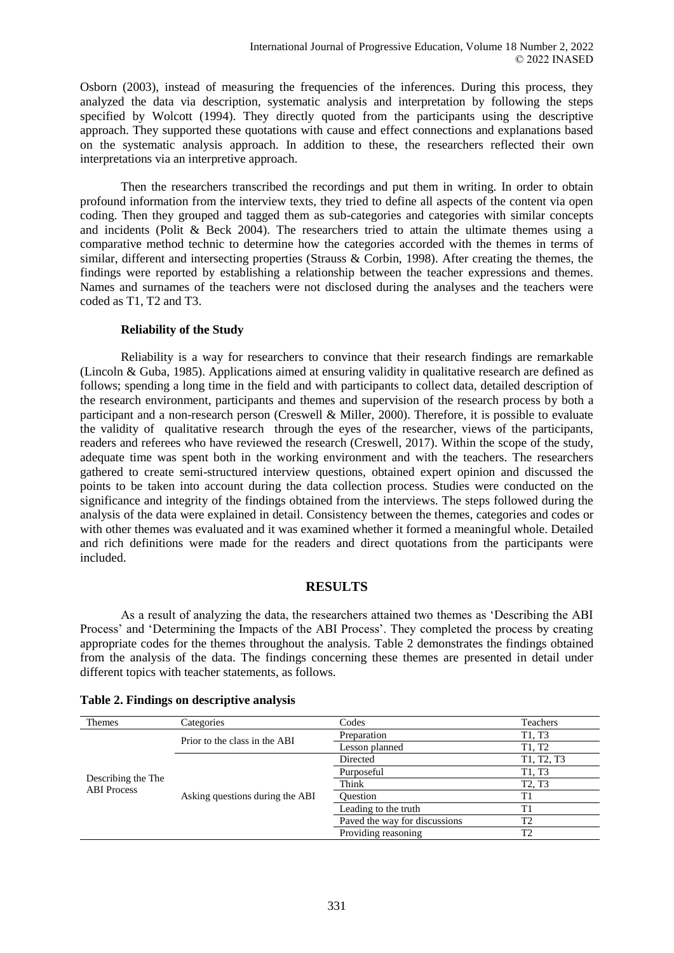Osborn (2003), instead of measuring the frequencies of the inferences. During this process, they analyzed the data via description, systematic analysis and interpretation by following the steps specified by Wolcott (1994). They directly quoted from the participants using the descriptive approach. They supported these quotations with cause and effect connections and explanations based on the systematic analysis approach. In addition to these, the researchers reflected their own interpretations via an interpretive approach.

Then the researchers transcribed the recordings and put them in writing. In order to obtain profound information from the interview texts, they tried to define all aspects of the content via open coding. Then they grouped and tagged them as sub-categories and categories with similar concepts and incidents (Polit & Beck 2004). The researchers tried to attain the ultimate themes using a comparative method technic to determine how the categories accorded with the themes in terms of similar, different and intersecting properties (Strauss & Corbin, 1998). After creating the themes, the findings were reported by establishing a relationship between the teacher expressions and themes. Names and surnames of the teachers were not disclosed during the analyses and the teachers were coded as T1, T2 and T3.

# **Reliability of the Study**

Reliability is a way for researchers to convince that their research findings are remarkable (Lincoln & Guba, 1985). Applications aimed at ensuring validity in qualitative research are defined as follows; spending a long time in the field and with participants to collect data, detailed description of the research environment, participants and themes and supervision of the research process by both a participant and a non-research person (Creswell & Miller, 2000). Therefore, it is possible to evaluate the validity of qualitative research through the eyes of the researcher, views of the participants, readers and referees who have reviewed the research (Creswell, 2017). Within the scope of the study, adequate time was spent both in the working environment and with the teachers. The researchers gathered to create semi-structured interview questions, obtained expert opinion and discussed the points to be taken into account during the data collection process. Studies were conducted on the significance and integrity of the findings obtained from the interviews. The steps followed during the analysis of the data were explained in detail. Consistency between the themes, categories and codes or with other themes was evaluated and it was examined whether it formed a meaningful whole. Detailed and rich definitions were made for the readers and direct quotations from the participants were included.

# **RESULTS**

As a result of analyzing the data, the researchers attained two themes as 'Describing the ABI Process' and 'Determining the Impacts of the ABI Process'. They completed the process by creating appropriate codes for the themes throughout the analysis. Table 2 demonstrates the findings obtained from the analysis of the data. The findings concerning these themes are presented in detail under different topics with teacher statements, as follows.

| <b>Themes</b>                            | Categories                      | Codes                         | <b>Teachers</b>                 |
|------------------------------------------|---------------------------------|-------------------------------|---------------------------------|
| Describing the The<br><b>ABI</b> Process | Prior to the class in the ABI   | Preparation                   | T1, T3                          |
|                                          |                                 | Lesson planned                | T <sub>1</sub> , T <sub>2</sub> |
|                                          | Asking questions during the ABI | Directed                      | T1, T2, T3                      |
|                                          |                                 | Purposeful                    | T1, T3                          |
|                                          |                                 | Think                         | T <sub>2</sub> , T <sub>3</sub> |
|                                          |                                 | <b>Ouestion</b>               | T1                              |
|                                          |                                 | Leading to the truth          | T1                              |
|                                          |                                 | Paved the way for discussions | T <sub>2</sub>                  |
|                                          |                                 | Providing reasoning           | T <sub>2</sub>                  |

### **Table 2. Findings on descriptive analysis**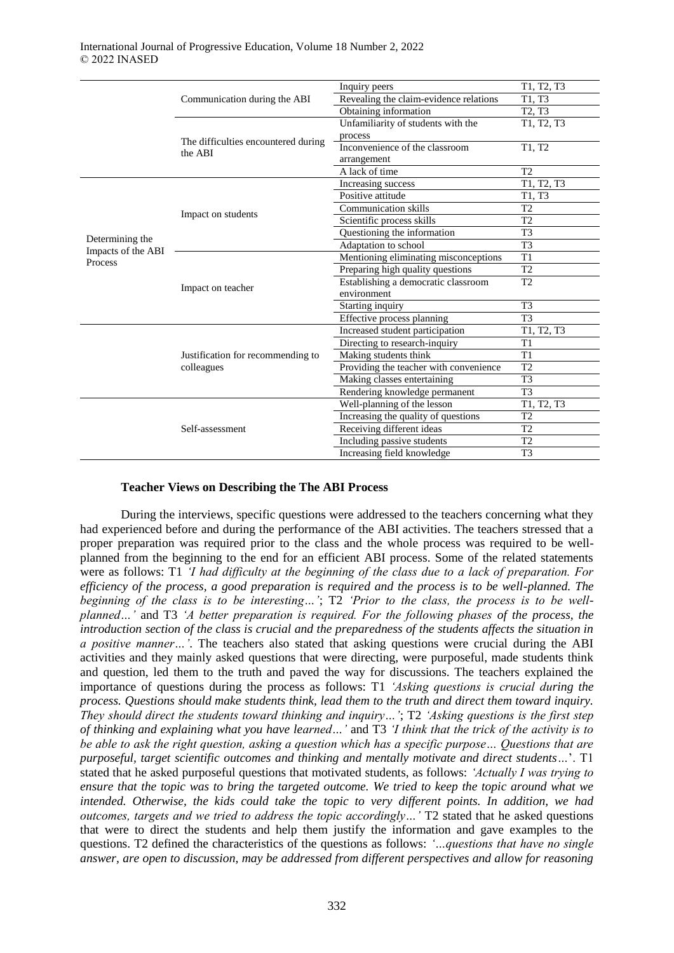|                                       | Communication during the ABI                                       | Inquiry peers                          | T1, T2, T3                      |
|---------------------------------------|--------------------------------------------------------------------|----------------------------------------|---------------------------------|
|                                       |                                                                    | Revealing the claim-evidence relations | T1, T3                          |
|                                       |                                                                    | Obtaining information                  | T <sub>2</sub> . T <sub>3</sub> |
|                                       | The difficulties encountered during<br>the ABI                     | Unfamiliarity of students with the     | T1, T2, T3                      |
|                                       |                                                                    | process                                |                                 |
|                                       |                                                                    | Inconvenience of the classroom         | T1, T2                          |
|                                       |                                                                    | arrangement                            |                                 |
|                                       |                                                                    | A lack of time                         | T <sub>2</sub>                  |
|                                       | Impact on students                                                 | Increasing success                     | T1, T2, T3                      |
|                                       |                                                                    | Positive attitude                      | T1. T3                          |
|                                       |                                                                    | <b>Communication skills</b>            | T <sub>2</sub>                  |
|                                       |                                                                    | Scientific process skills              | T2                              |
|                                       |                                                                    | Questioning the information            | T <sub>3</sub>                  |
| Determining the<br>Impacts of the ABI |                                                                    | Adaptation to school                   | T <sub>3</sub>                  |
| Process                               | Impact on teacher                                                  | Mentioning eliminating misconceptions  | T <sub>1</sub>                  |
|                                       |                                                                    | Preparing high quality questions       | T <sub>2</sub>                  |
|                                       |                                                                    | Establishing a democratic classroom    | T2                              |
|                                       |                                                                    | environment                            |                                 |
|                                       |                                                                    | Starting inquiry                       | T <sub>3</sub>                  |
|                                       |                                                                    | Effective process planning             | T <sub>3</sub>                  |
|                                       | Justification for recommending to<br>colleagues<br>Self-assessment | Increased student participation        | T1, T2, T3                      |
|                                       |                                                                    | Directing to research-inquiry          | T1                              |
|                                       |                                                                    | Making students think                  | T1                              |
|                                       |                                                                    | Providing the teacher with convenience | T <sub>2</sub>                  |
|                                       |                                                                    | Making classes entertaining            | T <sub>3</sub>                  |
|                                       |                                                                    | Rendering knowledge permanent          | T <sub>3</sub>                  |
|                                       |                                                                    | Well-planning of the lesson            | T1, T2, T3                      |
|                                       |                                                                    | Increasing the quality of questions    | T2                              |
|                                       |                                                                    | Receiving different ideas              | T <sub>2</sub>                  |
|                                       |                                                                    | Including passive students             | T <sub>2</sub>                  |
|                                       |                                                                    | Increasing field knowledge             | T3                              |

### **Teacher Views on Describing the The ABI Process**

During the interviews, specific questions were addressed to the teachers concerning what they had experienced before and during the performance of the ABI activities. The teachers stressed that a proper preparation was required prior to the class and the whole process was required to be wellplanned from the beginning to the end for an efficient ABI process. Some of the related statements were as follows: T1 *'I had difficulty at the beginning of the class due to a lack of preparation. For efficiency of the process, a good preparation is required and the process is to be well-planned. The beginning of the class is to be interesting…'*; T2 *'Prior to the class, the process is to be wellplanned…'* and T3 *'A better preparation is required. For the following phases of the process, the introduction section of the class is crucial and the preparedness of the students affects the situation in a positive manner…'*. The teachers also stated that asking questions were crucial during the ABI activities and they mainly asked questions that were directing, were purposeful, made students think and question, led them to the truth and paved the way for discussions. The teachers explained the importance of questions during the process as follows: T1 *'Asking questions is crucial during the process. Questions should make students think, lead them to the truth and direct them toward inquiry. They should direct the students toward thinking and inquiry…'*; T2 *'Asking questions is the first step of thinking and explaining what you have learned…'* and T3 *'I think that the trick of the activity is to be able to ask the right question, asking a question which has a specific purpose… Questions that are purposeful, target scientific outcomes and thinking and mentally motivate and direct students…*'. T1 stated that he asked purposeful questions that motivated students, as follows: *'Actually I was trying to ensure that the topic was to bring the targeted outcome. We tried to keep the topic around what we intended. Otherwise, the kids could take the topic to very different points. In addition, we had outcomes, targets and we tried to address the topic accordingly…'* T2 stated that he asked questions that were to direct the students and help them justify the information and gave examples to the questions. T2 defined the characteristics of the questions as follows: *'…questions that have no single answer, are open to discussion, may be addressed from different perspectives and allow for reasoning*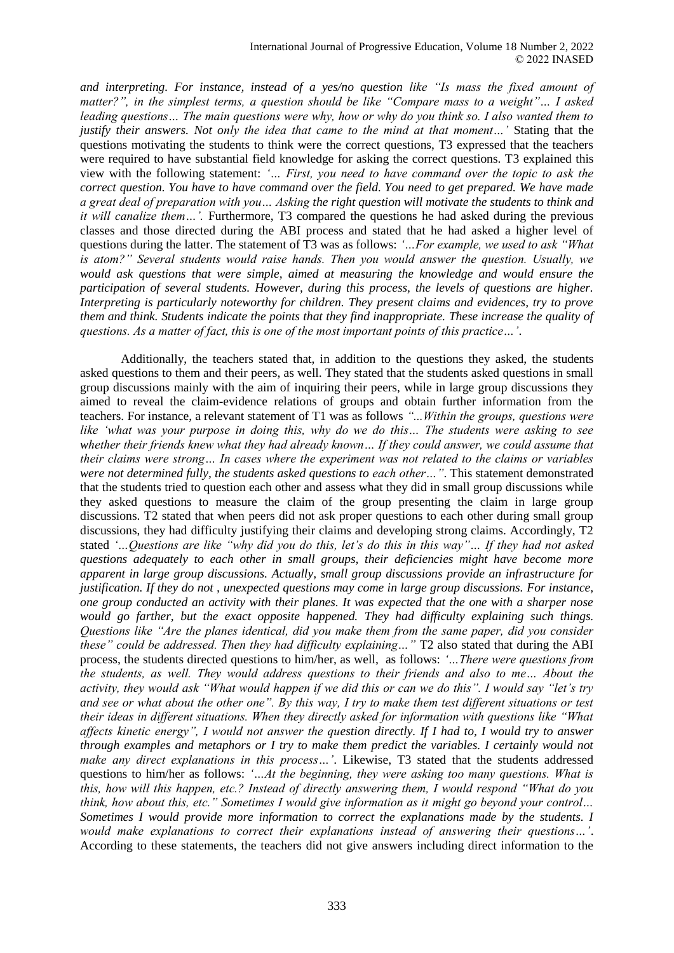*and interpreting. For instance, instead of a yes/no question like "Is mass the fixed amount of matter?", in the simplest terms, a question should be like "Compare mass to a weight"… I asked leading questions… The main questions were why, how or why do you think so. I also wanted them to justify their answers. Not only the idea that came to the mind at that moment…'* Stating that the questions motivating the students to think were the correct questions, T3 expressed that the teachers were required to have substantial field knowledge for asking the correct questions. T3 explained this view with the following statement: *'… First, you need to have command over the topic to ask the correct question. You have to have command over the field. You need to get prepared. We have made a great deal of preparation with you… Asking the right question will motivate the students to think and it will canalize them…'.* Furthermore, T3 compared the questions he had asked during the previous classes and those directed during the ABI process and stated that he had asked a higher level of questions during the latter. The statement of T3 was as follows: *'…For example, we used to ask "What is atom?" Several students would raise hands. Then you would answer the question. Usually, we would ask questions that were simple, aimed at measuring the knowledge and would ensure the participation of several students. However, during this process, the levels of questions are higher. Interpreting is particularly noteworthy for children. They present claims and evidences, try to prove them and think. Students indicate the points that they find inappropriate. These increase the quality of questions. As a matter of fact, this is one of the most important points of this practice…'*.

Additionally, the teachers stated that, in addition to the questions they asked, the students asked questions to them and their peers, as well. They stated that the students asked questions in small group discussions mainly with the aim of inquiring their peers, while in large group discussions they aimed to reveal the claim-evidence relations of groups and obtain further information from the teachers. For instance, a relevant statement of T1 was as follows *"...Within the groups, questions were like 'what was your purpose in doing this, why do we do this… The students were asking to see whether their friends knew what they had already known… If they could answer, we could assume that their claims were strong… In cases where the experiment was not related to the claims or variables were not determined fully, the students asked questions to each other…"*. This statement demonstrated that the students tried to question each other and assess what they did in small group discussions while they asked questions to measure the claim of the group presenting the claim in large group discussions. T2 stated that when peers did not ask proper questions to each other during small group discussions, they had difficulty justifying their claims and developing strong claims. Accordingly, T2 stated *'…Questions are like "why did you do this, let's do this in this way"… If they had not asked questions adequately to each other in small groups, their deficiencies might have become more apparent in large group discussions. Actually, small group discussions provide an infrastructure for justification. If they do not , unexpected questions may come in large group discussions. For instance, one group conducted an activity with their planes. It was expected that the one with a sharper nose would go farther, but the exact opposite happened. They had difficulty explaining such things. Questions like "Are the planes identical, did you make them from the same paper, did you consider these" could be addressed. Then they had difficulty explaining..."* T2 also stated that during the ABI process, the students directed questions to him/her, as well, as follows: *'…There were questions from the students, as well. They would address questions to their friends and also to me… About the activity, they would ask "What would happen if we did this or can we do this". I would say "let's try and see or what about the other one". By this way, I try to make them test different situations or test their ideas in different situations. When they directly asked for information with questions like "What affects kinetic energy", I would not answer the question directly. If I had to, I would try to answer through examples and metaphors or I try to make them predict the variables. I certainly would not make any direct explanations in this process…'*. Likewise, T3 stated that the students addressed questions to him/her as follows: *'…At the beginning, they were asking too many questions. What is this, how will this happen, etc.? Instead of directly answering them, I would respond "What do you think, how about this, etc." Sometimes I would give information as it might go beyond your control… Sometimes I would provide more information to correct the explanations made by the students. I would make explanations to correct their explanations instead of answering their questions…'*. According to these statements, the teachers did not give answers including direct information to the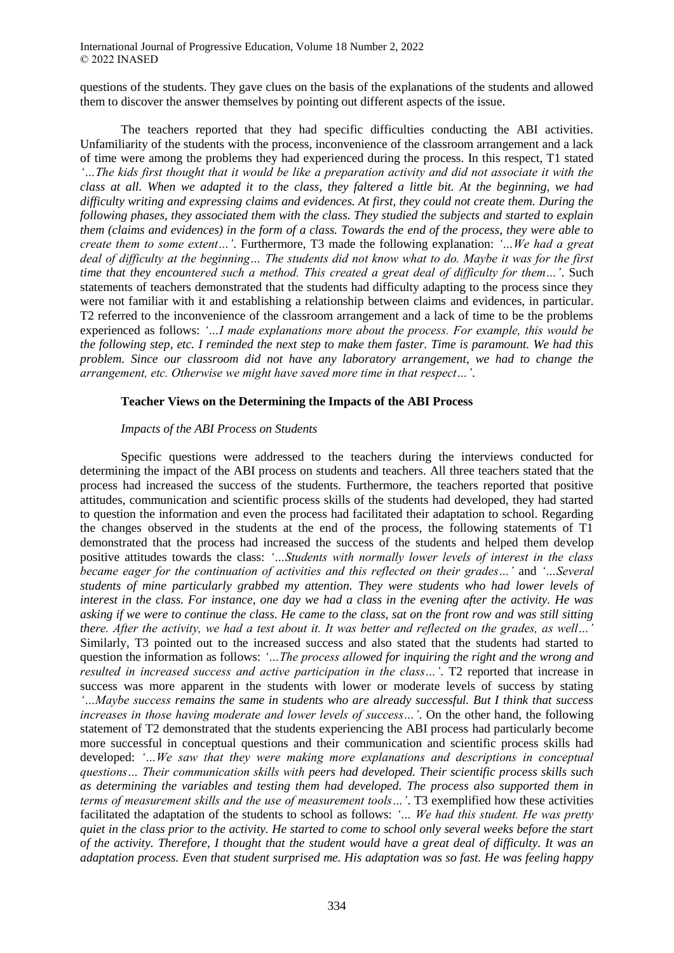International Journal of Progressive Education, Volume 18 Number 2, 2022 © 2022 INASED

questions of the students. They gave clues on the basis of the explanations of the students and allowed them to discover the answer themselves by pointing out different aspects of the issue.

The teachers reported that they had specific difficulties conducting the ABI activities. Unfamiliarity of the students with the process, inconvenience of the classroom arrangement and a lack of time were among the problems they had experienced during the process. In this respect, T1 stated *'…The kids first thought that it would be like a preparation activity and did not associate it with the class at all. When we adapted it to the class, they faltered a little bit. At the beginning, we had difficulty writing and expressing claims and evidences. At first, they could not create them. During the following phases, they associated them with the class. They studied the subjects and started to explain them (claims and evidences) in the form of a class. Towards the end of the process, they were able to create them to some extent…'*. Furthermore, T3 made the following explanation: *'…We had a great deal of difficulty at the beginning… The students did not know what to do. Maybe it was for the first time that they encountered such a method. This created a great deal of difficulty for them…'*. Such statements of teachers demonstrated that the students had difficulty adapting to the process since they were not familiar with it and establishing a relationship between claims and evidences, in particular. T2 referred to the inconvenience of the classroom arrangement and a lack of time to be the problems experienced as follows: *'…I made explanations more about the process. For example, this would be the following step, etc. I reminded the next step to make them faster. Time is paramount. We had this problem. Since our classroom did not have any laboratory arrangement, we had to change the arrangement, etc. Otherwise we might have saved more time in that respect…'*.

### **Teacher Views on the Determining the Impacts of the ABI Process**

### *Impacts of the ABI Process on Students*

Specific questions were addressed to the teachers during the interviews conducted for determining the impact of the ABI process on students and teachers. All three teachers stated that the process had increased the success of the students. Furthermore, the teachers reported that positive attitudes, communication and scientific process skills of the students had developed, they had started to question the information and even the process had facilitated their adaptation to school. Regarding the changes observed in the students at the end of the process, the following statements of T1 demonstrated that the process had increased the success of the students and helped them develop positive attitudes towards the class: *'…Students with normally lower levels of interest in the class became eager for the continuation of activities and this reflected on their grades…'* and *'…Several students of mine particularly grabbed my attention. They were students who had lower levels of interest in the class. For instance, one day we had a class in the evening after the activity. He was asking if we were to continue the class. He came to the class, sat on the front row and was still sitting there. After the activity, we had a test about it. It was better and reflected on the grades, as well…'* Similarly, T3 pointed out to the increased success and also stated that the students had started to question the information as follows: *'…The process allowed for inquiring the right and the wrong and resulted in increased success and active participation in the class…'*. T2 reported that increase in success was more apparent in the students with lower or moderate levels of success by stating *'…Maybe success remains the same in students who are already successful. But I think that success increases in those having moderate and lower levels of success…'*. On the other hand, the following statement of T2 demonstrated that the students experiencing the ABI process had particularly become more successful in conceptual questions and their communication and scientific process skills had developed: *'…We saw that they were making more explanations and descriptions in conceptual questions… Their communication skills with peers had developed. Their scientific process skills such as determining the variables and testing them had developed. The process also supported them in terms of measurement skills and the use of measurement tools…'*. T3 exemplified how these activities facilitated the adaptation of the students to school as follows: *'… We had this student. He was pretty quiet in the class prior to the activity. He started to come to school only several weeks before the start of the activity. Therefore, I thought that the student would have a great deal of difficulty. It was an adaptation process. Even that student surprised me. His adaptation was so fast. He was feeling happy*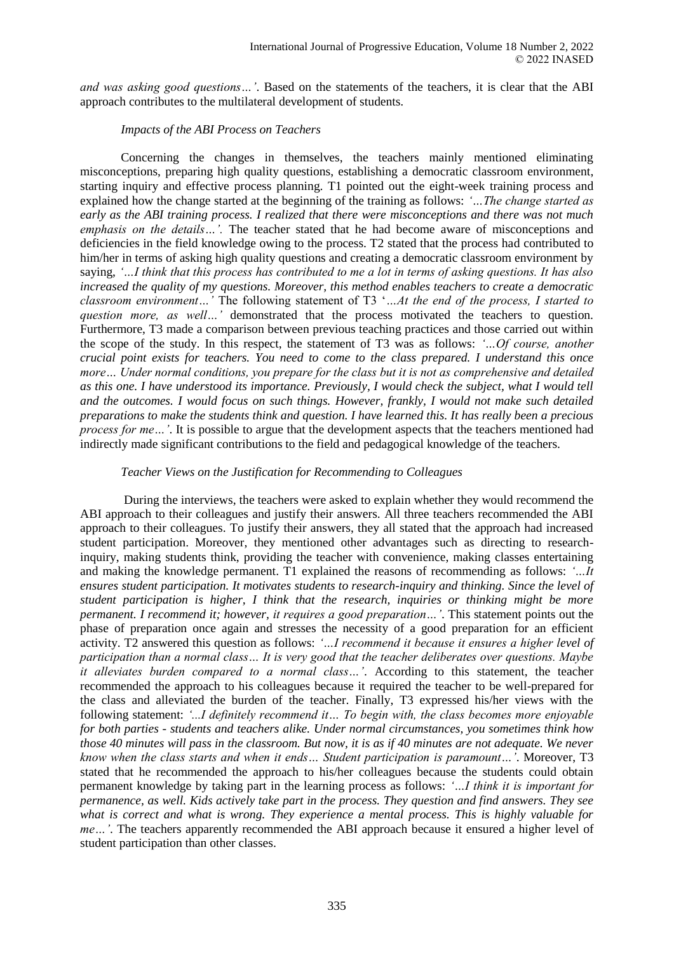*and was asking good questions…'*. Based on the statements of the teachers, it is clear that the ABI approach contributes to the multilateral development of students.

# *Impacts of the ABI Process on Teachers*

Concerning the changes in themselves, the teachers mainly mentioned eliminating misconceptions, preparing high quality questions, establishing a democratic classroom environment, starting inquiry and effective process planning. T1 pointed out the eight-week training process and explained how the change started at the beginning of the training as follows: *'…The change started as early as the ABI training process. I realized that there were misconceptions and there was not much emphasis on the details…'.* The teacher stated that he had become aware of misconceptions and deficiencies in the field knowledge owing to the process. T2 stated that the process had contributed to him/her in terms of asking high quality questions and creating a democratic classroom environment by saying, *'…I think that this process has contributed to me a lot in terms of asking questions. It has also increased the quality of my questions. Moreover, this method enables teachers to create a democratic classroom environment…'* The following statement of T3 '*…At the end of the process, I started to question more, as well…'* demonstrated that the process motivated the teachers to question. Furthermore, T3 made a comparison between previous teaching practices and those carried out within the scope of the study. In this respect, the statement of T3 was as follows: *'…Of course, another crucial point exists for teachers. You need to come to the class prepared. I understand this once more… Under normal conditions, you prepare for the class but it is not as comprehensive and detailed as this one. I have understood its importance. Previously, I would check the subject, what I would tell and the outcomes. I would focus on such things. However, frankly, I would not make such detailed preparations to make the students think and question. I have learned this. It has really been a precious process for me…'*. It is possible to argue that the development aspects that the teachers mentioned had indirectly made significant contributions to the field and pedagogical knowledge of the teachers.

# *Teacher Views on the Justification for Recommending to Colleagues*

During the interviews, the teachers were asked to explain whether they would recommend the ABI approach to their colleagues and justify their answers. All three teachers recommended the ABI approach to their colleagues. To justify their answers, they all stated that the approach had increased student participation. Moreover, they mentioned other advantages such as directing to researchinquiry, making students think, providing the teacher with convenience, making classes entertaining and making the knowledge permanent. T1 explained the reasons of recommending as follows: *'…It ensures student participation. It motivates students to research-inquiry and thinking. Since the level of student participation is higher, I think that the research, inquiries or thinking might be more permanent. I recommend it; however, it requires a good preparation…'*. This statement points out the phase of preparation once again and stresses the necessity of a good preparation for an efficient activity. T2 answered this question as follows: *'…I recommend it because it ensures a higher level of participation than a normal class… It is very good that the teacher deliberates over questions. Maybe it alleviates burden compared to a normal class…'*. According to this statement, the teacher recommended the approach to his colleagues because it required the teacher to be well-prepared for the class and alleviated the burden of the teacher. Finally, T3 expressed his/her views with the following statement: *'...I definitely recommend it… To begin with, the class becomes more enjoyable for both parties - students and teachers alike. Under normal circumstances, you sometimes think how those 40 minutes will pass in the classroom. But now, it is as if 40 minutes are not adequate. We never know when the class starts and when it ends… Student participation is paramount…'*. Moreover, T3 stated that he recommended the approach to his/her colleagues because the students could obtain permanent knowledge by taking part in the learning process as follows: *'…I think it is important for permanence, as well. Kids actively take part in the process. They question and find answers. They see what is correct and what is wrong. They experience a mental process. This is highly valuable for me…'*. The teachers apparently recommended the ABI approach because it ensured a higher level of student participation than other classes.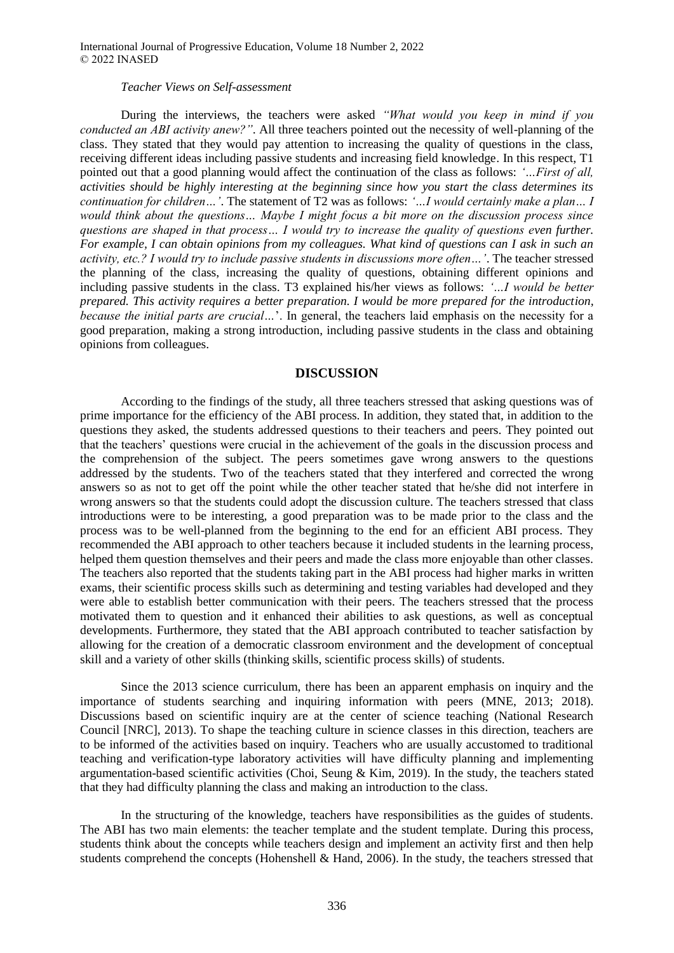### *Teacher Views on Self-assessment*

During the interviews, the teachers were asked *"What would you keep in mind if you conducted an ABI activity anew?"*. All three teachers pointed out the necessity of well-planning of the class. They stated that they would pay attention to increasing the quality of questions in the class, receiving different ideas including passive students and increasing field knowledge. In this respect, T1 pointed out that a good planning would affect the continuation of the class as follows: *'…First of all, activities should be highly interesting at the beginning since how you start the class determines its continuation for children…'*. The statement of T2 was as follows: *'…I would certainly make a plan… I would think about the questions… Maybe I might focus a bit more on the discussion process since questions are shaped in that process… I would try to increase the quality of questions even further. For example, I can obtain opinions from my colleagues. What kind of questions can I ask in such an activity, etc.? I would try to include passive students in discussions more often…'*. The teacher stressed the planning of the class, increasing the quality of questions, obtaining different opinions and including passive students in the class. T3 explained his/her views as follows: *'…I would be better prepared. This activity requires a better preparation. I would be more prepared for the introduction, because the initial parts are crucial…*'. In general, the teachers laid emphasis on the necessity for a good preparation, making a strong introduction, including passive students in the class and obtaining opinions from colleagues.

### **DISCUSSION**

According to the findings of the study, all three teachers stressed that asking questions was of prime importance for the efficiency of the ABI process. In addition, they stated that, in addition to the questions they asked, the students addressed questions to their teachers and peers. They pointed out that the teachers' questions were crucial in the achievement of the goals in the discussion process and the comprehension of the subject. The peers sometimes gave wrong answers to the questions addressed by the students. Two of the teachers stated that they interfered and corrected the wrong answers so as not to get off the point while the other teacher stated that he/she did not interfere in wrong answers so that the students could adopt the discussion culture. The teachers stressed that class introductions were to be interesting, a good preparation was to be made prior to the class and the process was to be well-planned from the beginning to the end for an efficient ABI process. They recommended the ABI approach to other teachers because it included students in the learning process, helped them question themselves and their peers and made the class more enjoyable than other classes. The teachers also reported that the students taking part in the ABI process had higher marks in written exams, their scientific process skills such as determining and testing variables had developed and they were able to establish better communication with their peers. The teachers stressed that the process motivated them to question and it enhanced their abilities to ask questions, as well as conceptual developments. Furthermore, they stated that the ABI approach contributed to teacher satisfaction by allowing for the creation of a democratic classroom environment and the development of conceptual skill and a variety of other skills (thinking skills, scientific process skills) of students.

Since the 2013 science curriculum, there has been an apparent emphasis on inquiry and the importance of students searching and inquiring information with peers (MNE, 2013; 2018). Discussions based on scientific inquiry are at the center of science teaching (National Research Council [NRC], 2013). To shape the teaching culture in science classes in this direction, teachers are to be informed of the activities based on inquiry. Teachers who are usually accustomed to traditional teaching and verification-type laboratory activities will have difficulty planning and implementing argumentation-based scientific activities (Choi, Seung & Kim, 2019). In the study, the teachers stated that they had difficulty planning the class and making an introduction to the class.

In the structuring of the knowledge, teachers have responsibilities as the guides of students. The ABI has two main elements: the teacher template and the student template. During this process, students think about the concepts while teachers design and implement an activity first and then help students comprehend the concepts (Hohenshell & Hand, 2006). In the study, the teachers stressed that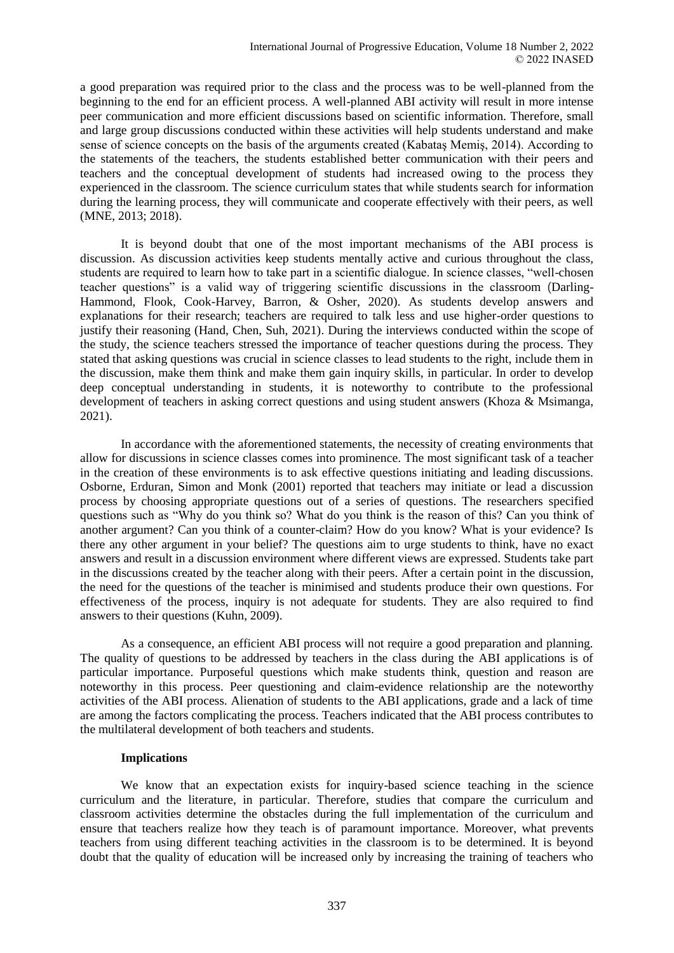a good preparation was required prior to the class and the process was to be well-planned from the beginning to the end for an efficient process. A well-planned ABI activity will result in more intense peer communication and more efficient discussions based on scientific information. Therefore, small and large group discussions conducted within these activities will help students understand and make sense of science concepts on the basis of the arguments created (Kabataş Memiş, 2014). According to the statements of the teachers, the students established better communication with their peers and teachers and the conceptual development of students had increased owing to the process they experienced in the classroom. The science curriculum states that while students search for information during the learning process, they will communicate and cooperate effectively with their peers, as well (MNE, 2013; 2018).

It is beyond doubt that one of the most important mechanisms of the ABI process is discussion. As discussion activities keep students mentally active and curious throughout the class, students are required to learn how to take part in a scientific dialogue. In science classes, "well-chosen teacher questions" is a valid way of triggering scientific discussions in the classroom (Darling-Hammond, Flook, Cook-Harvey, Barron, & Osher, 2020). As students develop answers and explanations for their research; teachers are required to talk less and use higher-order questions to justify their reasoning (Hand, Chen, Suh, 2021). During the interviews conducted within the scope of the study, the science teachers stressed the importance of teacher questions during the process. They stated that asking questions was crucial in science classes to lead students to the right, include them in the discussion, make them think and make them gain inquiry skills, in particular. In order to develop deep conceptual understanding in students, it is noteworthy to contribute to the professional development of teachers in asking correct questions and using student answers (Khoza & Msimanga, 2021).

In accordance with the aforementioned statements, the necessity of creating environments that allow for discussions in science classes comes into prominence. The most significant task of a teacher in the creation of these environments is to ask effective questions initiating and leading discussions. Osborne, Erduran, Simon and Monk (2001) reported that teachers may initiate or lead a discussion process by choosing appropriate questions out of a series of questions. The researchers specified questions such as "Why do you think so? What do you think is the reason of this? Can you think of another argument? Can you think of a counter-claim? How do you know? What is your evidence? Is there any other argument in your belief? The questions aim to urge students to think, have no exact answers and result in a discussion environment where different views are expressed. Students take part in the discussions created by the teacher along with their peers. After a certain point in the discussion, the need for the questions of the teacher is minimised and students produce their own questions. For effectiveness of the process, inquiry is not adequate for students. They are also required to find answers to their questions (Kuhn, 2009).

As a consequence, an efficient ABI process will not require a good preparation and planning. The quality of questions to be addressed by teachers in the class during the ABI applications is of particular importance. Purposeful questions which make students think, question and reason are noteworthy in this process. Peer questioning and claim-evidence relationship are the noteworthy activities of the ABI process. Alienation of students to the ABI applications, grade and a lack of time are among the factors complicating the process. Teachers indicated that the ABI process contributes to the multilateral development of both teachers and students.

### **Implications**

We know that an expectation exists for inquiry-based science teaching in the science curriculum and the literature, in particular. Therefore, studies that compare the curriculum and classroom activities determine the obstacles during the full implementation of the curriculum and ensure that teachers realize how they teach is of paramount importance. Moreover, what prevents teachers from using different teaching activities in the classroom is to be determined. It is beyond doubt that the quality of education will be increased only by increasing the training of teachers who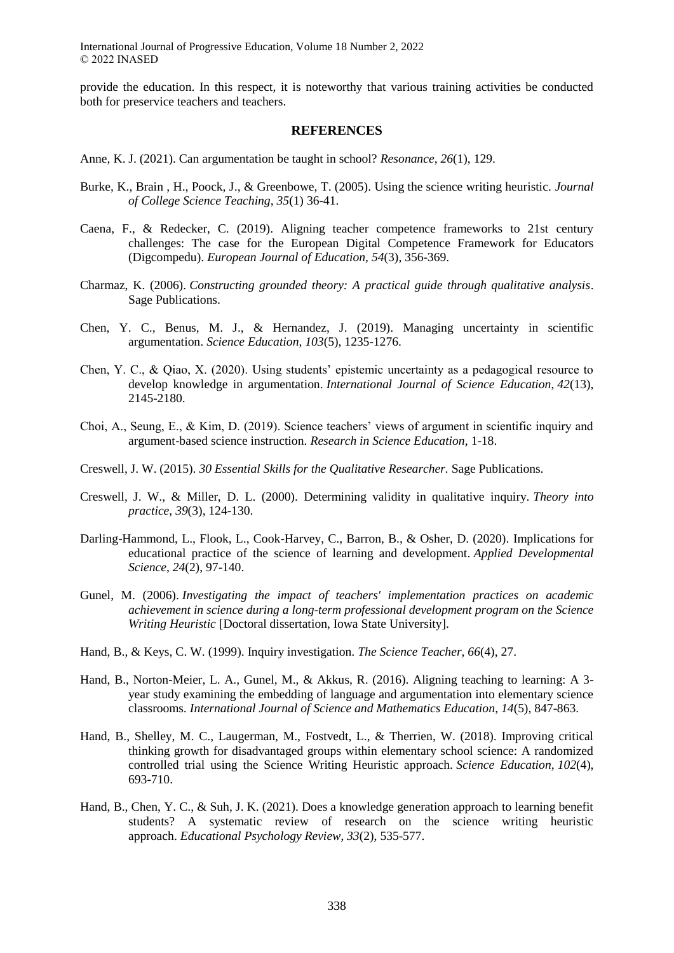provide the education. In this respect, it is noteworthy that various training activities be conducted both for preservice teachers and teachers.

### **REFERENCES**

- Anne, K. J. (2021). Can argumentation be taught in school? *Resonance*, *26*(1), 129.
- Burke, K., Brain , H., Poock, J., & Greenbowe, T. (2005). Using the science writing heuristic. *Journal of College Science Teaching, 35*(1) 36-41.
- Caena, F., & Redecker, C. (2019). Aligning teacher competence frameworks to 21st century challenges: The case for the European Digital Competence Framework for Educators (Digcompedu). *European Journal of Education*, *54*(3), 356-369.
- Charmaz, K. (2006). *Constructing grounded theory: A practical guide through qualitative analysis*. Sage Publications.
- Chen, Y. C., Benus, M. J., & Hernandez, J. (2019). Managing uncertainty in scientific argumentation. *Science Education*, *103*(5), 1235-1276.
- Chen, Y. C., & Qiao, X. (2020). Using students' epistemic uncertainty as a pedagogical resource to develop knowledge in argumentation. *International Journal of Science Education*, *42*(13), 2145-2180.
- Choi, A., Seung, E., & Kim, D. (2019). Science teachers' views of argument in scientific inquiry and argument-based science instruction. *Research in Science Education*, 1-18.
- Creswell, J. W. (2015). *30 Essential Skills for the Qualitative Researcher.* Sage Publications.
- Creswell, J. W., & Miller, D. L. (2000). Determining validity in qualitative inquiry. *Theory into practice*, *39*(3), 124-130.
- Darling-Hammond, L., Flook, L., Cook-Harvey, C., Barron, B., & Osher, D. (2020). Implications for educational practice of the science of learning and development. *Applied Developmental Science*, *24*(2), 97-140.
- Gunel, M. (2006). *Investigating the impact of teachers' implementation practices on academic achievement in science during a long-term professional development program on the Science Writing Heuristic* [Doctoral dissertation, Iowa State University].
- Hand, B., & Keys, C. W. (1999). Inquiry investigation. *The Science Teacher*, *66*(4), 27.
- Hand, B., Norton-Meier, L. A., Gunel, M., & Akkus, R. (2016). Aligning teaching to learning: A 3 year study examining the embedding of language and argumentation into elementary science classrooms. *International Journal of Science and Mathematics Education*, *14*(5), 847-863.
- Hand, B., Shelley, M. C., Laugerman, M., Fostvedt, L., & Therrien, W. (2018). Improving critical thinking growth for disadvantaged groups within elementary school science: A randomized controlled trial using the Science Writing Heuristic approach. *Science Education*, *102*(4), 693-710.
- Hand, B., Chen, Y. C., & Suh, J. K. (2021). Does a knowledge generation approach to learning benefit students? A systematic review of research on the science writing heuristic approach. *Educational Psychology Review*, *33*(2), 535-577.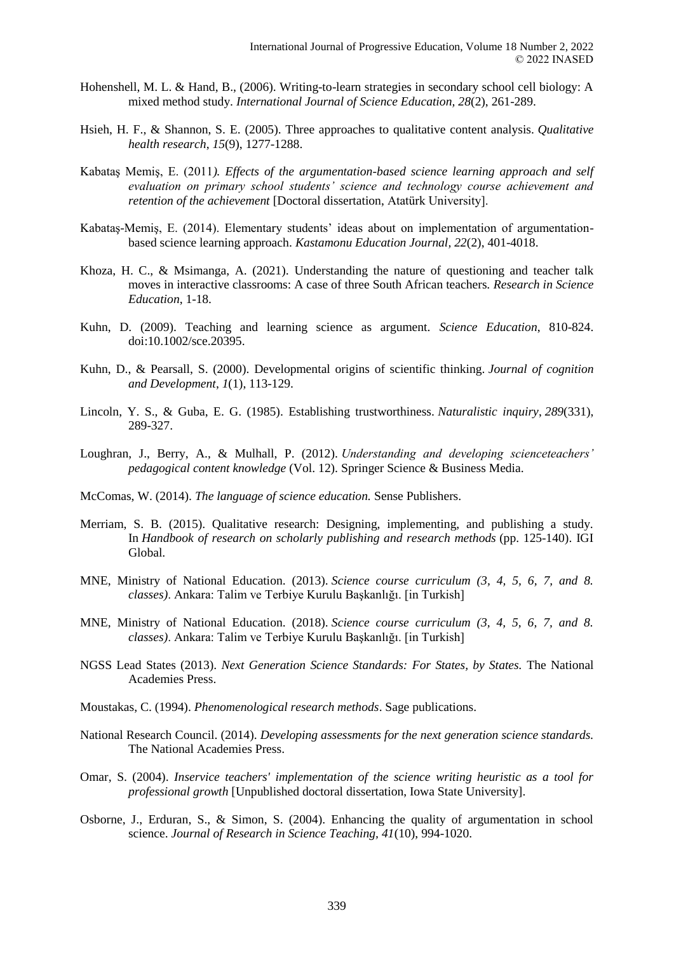- Hohenshell, M. L. & Hand, B., (2006). Writing-to-learn strategies in secondary school cell biology: A mixed method study. *International Journal of Science Education, 28*(2), 261-289.
- Hsieh, H. F., & Shannon, S. E. (2005). Three approaches to qualitative content analysis. *Qualitative health research*, *15*(9), 1277-1288.
- Kabataş Memiş, E. (2011*). Effects of the argumentation-based science learning approach and self evaluation on primary school students' science and technology course achievement and retention of the achievement* [Doctoral dissertation, Atatürk University].
- Kabataş-Memiş, E. (2014). Elementary students' ideas about on implementation of argumentationbased science learning approach. *Kastamonu Education Journal, 22*(2), 401-4018.
- Khoza, H. C., & Msimanga, A. (2021). Understanding the nature of questioning and teacher talk moves in interactive classrooms: A case of three South African teachers. *Research in Science Education*, 1-18.
- Kuhn, D. (2009). Teaching and learning science as argument. *Science Education*, 810-824. doi:10.1002/sce.20395.
- Kuhn, D., & Pearsall, S. (2000). Developmental origins of scientific thinking. *Journal of cognition and Development*, *1*(1), 113-129.
- Lincoln, Y. S., & Guba, E. G. (1985). Establishing trustworthiness. *Naturalistic inquiry*, *289*(331), 289-327.
- Loughran, J., Berry, A., & Mulhall, P. (2012). *Understanding and developing scienceteachers' pedagogical content knowledge* (Vol. 12). Springer Science & Business Media.
- McComas, W. (2014). *The language of science education.* Sense Publishers.
- Merriam, S. B. (2015). Qualitative research: Designing, implementing, and publishing a study. In *Handbook of research on scholarly publishing and research methods* (pp. 125-140). IGI Global.
- MNE, Ministry of National Education. (2013). *Science course curriculum (3, 4, 5, 6, 7, and 8. classes)*. Ankara: Talim ve Terbiye Kurulu Başkanlığı. [in Turkish]
- MNE, Ministry of National Education. (2018). *Science course curriculum (3, 4, 5, 6, 7, and 8. classes)*. Ankara: Talim ve Terbiye Kurulu Başkanlığı. [in Turkish]
- NGSS Lead States (2013). *Next Generation Science Standards: For States, by States.* The National Academies Press.
- Moustakas, C. (1994). *Phenomenological research methods*. Sage publications.
- National Research Council. (2014). *Developing assessments for the next generation science standards.* The National Academies Press.
- Omar, S. (2004). *Inservice teachers' implementation of the science writing heuristic as a tool for professional growth* [Unpublished doctoral dissertation, Iowa State University].
- Osborne, J., Erduran, S., & Simon, S. (2004). Enhancing the quality of argumentation in school science. *Journal of Research in Science Teaching, 41*(10), 994-1020.